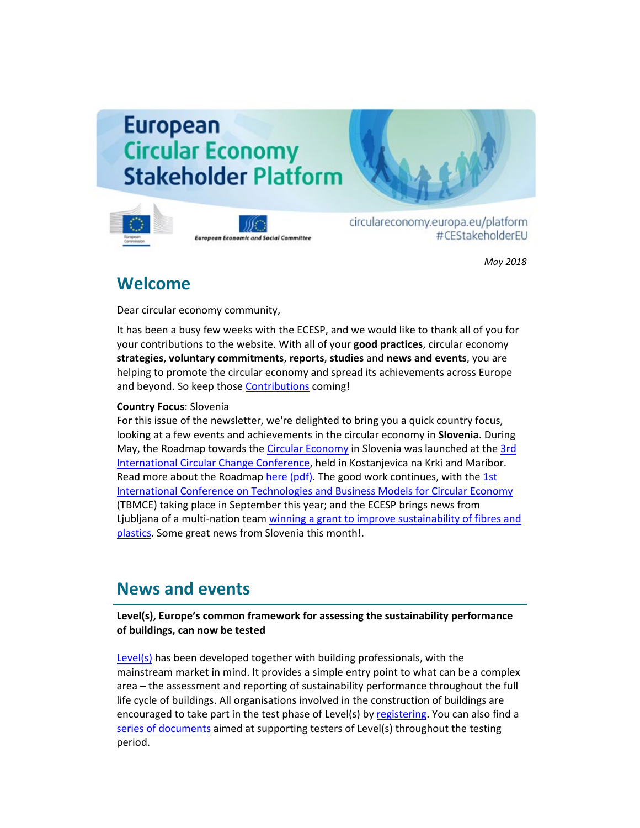# **European Circular Economy Stakeholder Platform**



**European Economic and Social Committee** 

circulareconomy.europa.eu/platform #CEStakeholderEU

*May 2018*

# **Welcome**

Dear circular economy community,

It has been a busy few weeks with the ECESP, and we would like to thank all of you for your contributions to the website. With all of your **good practices**, circular economy **strategies**, **voluntary commitments**, **reports**, **studies** and **news and events**, you are helping to promote the circular economy and spread its achievements across Europe and beyond. So keep those [Contributions](http://cdlink.eesc.europa.eu/l/31538e97ca514342adff8969ad2f0ca5/F56AB670/8AC92EF4/052018n) coming!

### **Country Focus**: Slovenia

For this issue of the newsletter, we're delighted to bring you a quick country focus, looking at a few events and achievements in the circular economy in **Slovenia**. During May, the Roadmap towards th[e Circular Economy](http://cdlink.eesc.europa.eu/l/31538e97ca514342adff8969ad2f0ca5/F56AB670/C33E1D34/052018n) in Slovenia was launched at the [3rd](http://cdlink.eesc.europa.eu/l/31538e97ca514342adff8969ad2f0ca5/F56AB670/899DB92C/052018n)  [International Circular Change Conference,](http://cdlink.eesc.europa.eu/l/31538e97ca514342adff8969ad2f0ca5/F56AB670/899DB92C/052018n) held in Kostanjevica na Krki and Maribor. Read more about the Roadma[p here \(pdf\).](http://cdlink.eesc.europa.eu/l/31538e97ca514342adff8969ad2f0ca5/F56AB670/C84791F7/052018n) The good work continues, with the 1st [International Conference on Technologies and Business Models for Circular Economy](http://cdlink.eesc.europa.eu/l/31538e97ca514342adff8969ad2f0ca5/F56AB670/BBC3368F/052018n)  (TBMCE) taking place in September this year; and the ECESP brings news from Ljubljana of a multi-nation tea[m winning a grant to improve sustainability of fibres and](http://cdlink.eesc.europa.eu/l/31538e97ca514342adff8969ad2f0ca5/F56AB670/AEC5D59A/052018n)  [plastics.](http://cdlink.eesc.europa.eu/l/31538e97ca514342adff8969ad2f0ca5/F56AB670/AEC5D59A/052018n) Some great news from Slovenia this month!.

# **News and events**

### **Level(s), Europe's common framework for assessing the sustainability performance of buildings, can now be tested**

[Level\(s\)](http://cdlink.eesc.europa.eu/l/31538e97ca514342adff8969ad2f0ca5/F56AB670/BD07AD12/052018n) has been developed together with building professionals, with the mainstream market in mind. It provides a simple entry point to what can be a complex area – the assessment and reporting of sustainability performance throughout the full life cycle of buildings. All organisations involved in the construction of buildings are encouraged to take part in the test phase of Level(s) by [registering.](http://cdlink.eesc.europa.eu/l/31538e97ca514342adff8969ad2f0ca5/F56AB670/7E0276CF/052018n) You can also find a [series of documents](http://cdlink.eesc.europa.eu/l/31538e97ca514342adff8969ad2f0ca5/F56AB670/408F723F/052018n) aimed at supporting testers of Level(s) throughout the testing period.